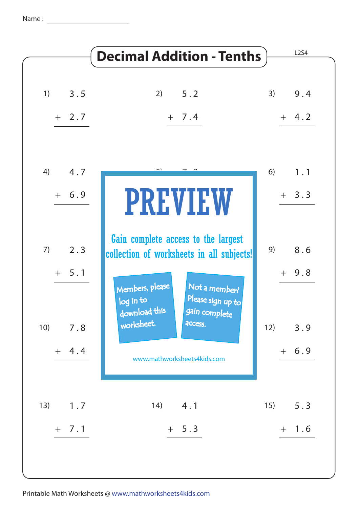